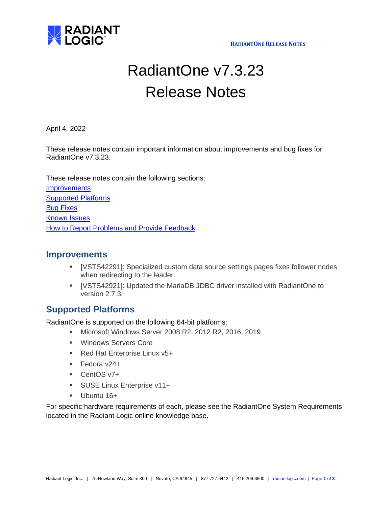

**RADIANTONE RELEASE NOTES**

# RadiantOne v7.3.23 Release Notes

April 4, 2022

These release notes contain important information about improvements and bug fixes for RadiantOne v7.3.23.

These release notes contain the following sections:

**[Improvements](#page-0-0)** [Supported Platforms](#page-0-1) [Bug Fixes](#page-1-0) [Known Issues](#page-2-0) [How to Report Problems and Provide Feedback](#page-2-1)

## <span id="page-0-0"></span>**Improvements**

- [VSTS42291]: Specialized custom data source settings pages fixes follower nodes when redirecting to the leader.
- [VSTS42921]: Updated the MariaDB JDBC driver installed with RadiantOne to version 2.7.3.

## <span id="page-0-1"></span>**Supported Platforms**

RadiantOne is supported on the following 64-bit platforms:

- Microsoft Windows Server 2008 R2, 2012 R2, 2016, 2019
- Windows Servers Core
- Red Hat Enterprise Linux v5+
- Fedora v24+
- CentOS v7+
- **EXECUSE Linux Enterprise v11+**
- **■** Ubuntu 16+

For specific hardware requirements of each, please see the RadiantOne System Requirements located in the Radiant Logic online knowledge base.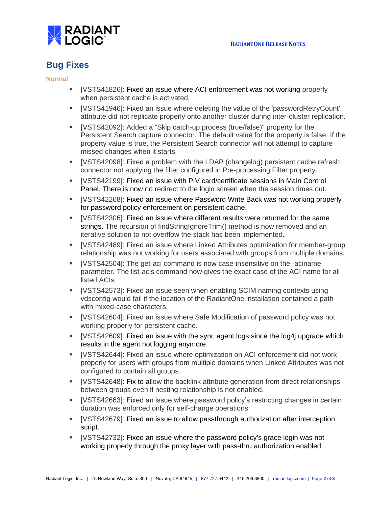

### <span id="page-1-0"></span>**Bug Fixes**

#### **Normal**

- [VSTS41826]: Fixed an issue where ACI enforcement was not working properly when persistent cache is activated.
- [VSTS41946]: Fixed an issue where deleting the value of the 'passwordRetryCount' attribute did not replicate properly onto another cluster during inter-cluster replication.
- [VSTS42092]: Added a "Skip catch-up process (true/false)" property for the Persistent Search capture connector. The default value for the property is false. If the property value is true, the Persistent Search connector will not attempt to capture missed changes when it starts.
- [VSTS42098]: Fixed a problem with the LDAP (changelog) persistent cache refresh connector not applying the filter configured in Pre-processing Filter property.
- [VSTS42199]: Fixed an issue with PIV card/certificate sessions in Main Control Panel. There is now no redirect to the login screen when the session times out.
- [VSTS42268]: Fixed an issue where Password Write Back was not working properly for password policy enforcement on persistent cache.
- **EXETS423061: Fixed an issue where different results were returned for the same** strings. The recursion of findStringIgnoreTrim() method is now removed and an iterative solution to not overflow the stack has been implemented.
- [VSTS42489]: Fixed an issue where Linked Attributes optimization for member-group relationship was not working for users associated with groups from multiple domains.
- [VSTS42504]: The get-aci command is now case-insensitive on the -aciname parameter. The list-acis command now gives the exact case of the ACI name for all listed ACIs.
- **IVSTS425731: Fixed an issue seen when enabling SCIM naming contexts using** vdsconfig would fail if the location of the RadiantOne installation contained a path with mixed-case characters.
- [VSTS42604]: Fixed an issue where Safe Modification of password policy was not working properly for persistent cache.
- [VSTS42609]: Fixed an issue with the sync agent logs since the log4j upgrade which results in the agent not logging anymore.
- [VSTS42644]: Fixed an issue where optimization on ACI enforcement did not work properly for users with groups from multiple domains when Linked Attributes was not configured to contain all groups.
- [VSTS42648]: Fix to allow the backlink attribute generation from direct relationships between groups even if nesting relationship is not enabled.
- **•** [VSTS42663]: Fixed an issue where password policy's restricting changes in certain duration was enforced only for self-change operations.
- [VSTS42679]: Fixed an issue to allow passthrough authorization after interception script.
- [VSTS42732]: Fixed an issue where the password policy's grace login was not working properly through the proxy layer with pass-thru authorization enabled.